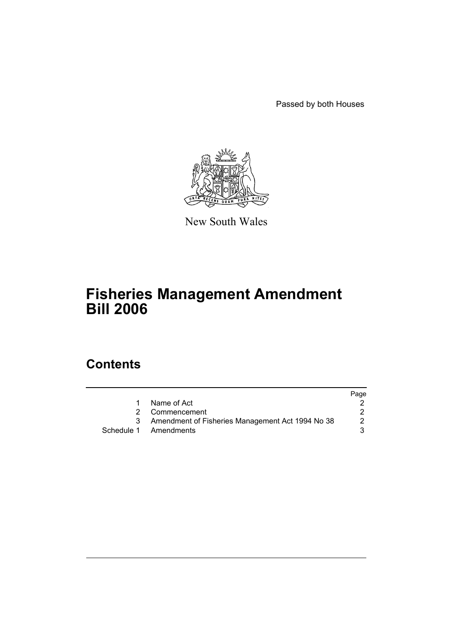Passed by both Houses



New South Wales

# **Fisheries Management Amendment Bill 2006**

# **Contents**

|   |                                                  | Page |
|---|--------------------------------------------------|------|
|   | Name of Act                                      |      |
|   | 2 Commencement                                   |      |
| 3 | Amendment of Fisheries Management Act 1994 No 38 | 2    |
|   | Schedule 1 Amendments                            | 3    |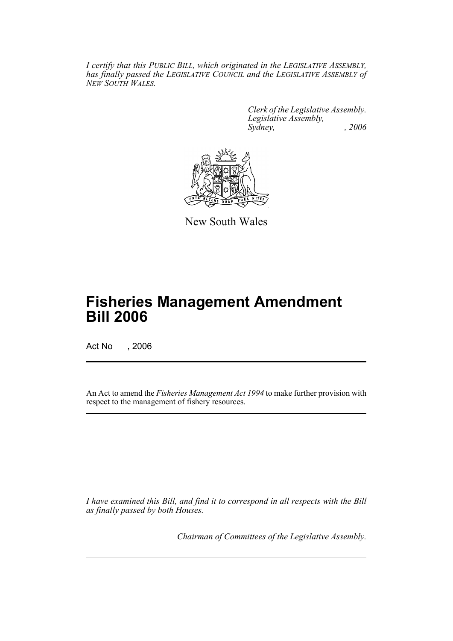*I certify that this PUBLIC BILL, which originated in the LEGISLATIVE ASSEMBLY, has finally passed the LEGISLATIVE COUNCIL and the LEGISLATIVE ASSEMBLY of NEW SOUTH WALES.*

> *Clerk of the Legislative Assembly. Legislative Assembly, Sydney, , 2006*



New South Wales

# **Fisheries Management Amendment Bill 2006**

Act No , 2006

An Act to amend the *Fisheries Management Act 1994* to make further provision with respect to the management of fishery resources.

*I have examined this Bill, and find it to correspond in all respects with the Bill as finally passed by both Houses.*

*Chairman of Committees of the Legislative Assembly.*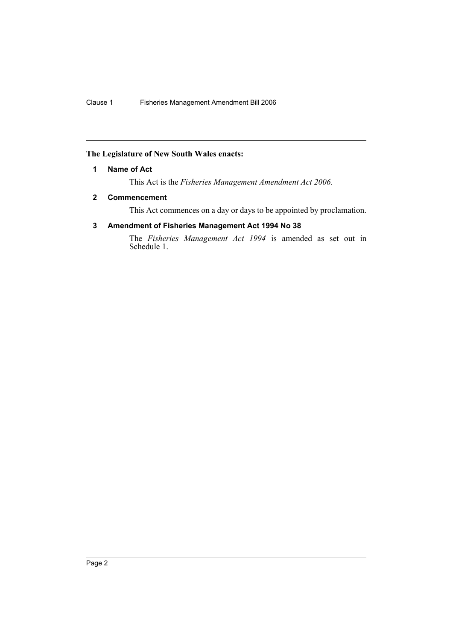## **The Legislature of New South Wales enacts:**

## **1 Name of Act**

This Act is the *Fisheries Management Amendment Act 2006*.

## **2 Commencement**

This Act commences on a day or days to be appointed by proclamation.

## **3 Amendment of Fisheries Management Act 1994 No 38**

The *Fisheries Management Act 1994* is amended as set out in Schedule 1.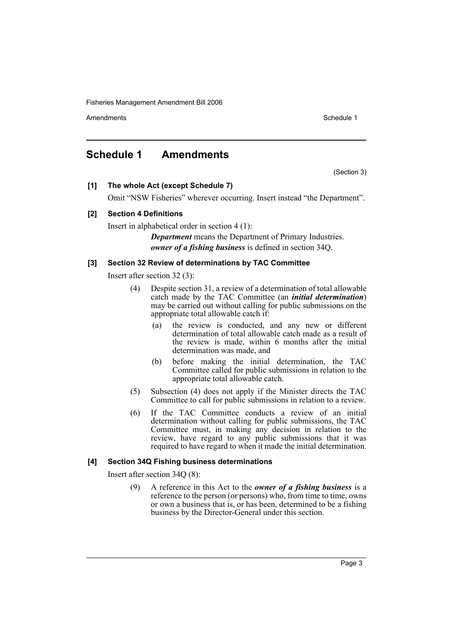Amendments **Amendments** Schedule 1

## **Schedule 1 Amendments**

(Section 3)

**[1] The whole Act (except Schedule 7)**

Omit "NSW Fisheries" wherever occurring. Insert instead "the Department".

## **[2] Section 4 Definitions**

Insert in alphabetical order in section 4 (1):

*Department* means the Department of Primary Industries. *owner of a fishing business* is defined in section 34Q.

## **[3] Section 32 Review of determinations by TAC Committee**

Insert after section 32 (3):

- (4) Despite section 31, a review of a determination of total allowable catch made by the TAC Committee (an *initial determination*) may be carried out without calling for public submissions on the appropriate total allowable catch if:
	- (a) the review is conducted, and any new or different determination of total allowable catch made as a result of the review is made, within 6 months after the initial determination was made, and
	- (b) before making the initial determination, the TAC Committee called for public submissions in relation to the appropriate total allowable catch.
- (5) Subsection (4) does not apply if the Minister directs the TAC Committee to call for public submissions in relation to a review.
- (6) If the TAC Committee conducts a review of an initial determination without calling for public submissions, the TAC Committee must, in making any decision in relation to the review, have regard to any public submissions that it was required to have regard to when it made the initial determination.

## **[4] Section 34Q Fishing business determinations**

Insert after section 34Q (8):

(9) A reference in this Act to the *owner of a fishing business* is a reference to the person (or persons) who, from time to time, owns or own a business that is, or has been, determined to be a fishing business by the Director-General under this section.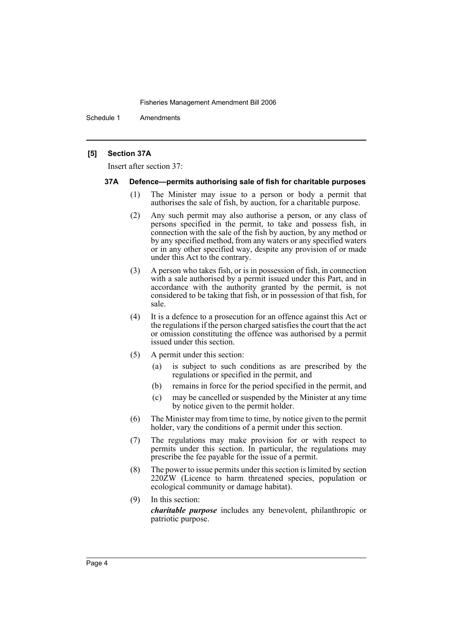Schedule 1 Amendments

## **[5] Section 37A**

Insert after section 37:

#### **37A Defence—permits authorising sale of fish for charitable purposes**

- (1) The Minister may issue to a person or body a permit that authorises the sale of fish, by auction, for a charitable purpose.
- (2) Any such permit may also authorise a person, or any class of persons specified in the permit, to take and possess fish, in connection with the sale of the fish by auction, by any method or by any specified method, from any waters or any specified waters or in any other specified way, despite any provision of or made under this Act to the contrary.
- (3) A person who takes fish, or is in possession of fish, in connection with a sale authorised by a permit issued under this Part, and in accordance with the authority granted by the permit, is not considered to be taking that fish, or in possession of that fish, for sale.
- (4) It is a defence to a prosecution for an offence against this Act or the regulations if the person charged satisfies the court that the act or omission constituting the offence was authorised by a permit issued under this section.
- (5) A permit under this section:
	- (a) is subject to such conditions as are prescribed by the regulations or specified in the permit, and
	- (b) remains in force for the period specified in the permit, and
	- (c) may be cancelled or suspended by the Minister at any time by notice given to the permit holder.
- (6) The Minister may from time to time, by notice given to the permit holder, vary the conditions of a permit under this section.
- (7) The regulations may make provision for or with respect to permits under this section. In particular, the regulations may prescribe the fee payable for the issue of a permit.
- (8) The power to issue permits under this section is limited by section 220ZW (Licence to harm threatened species, population or ecological community or damage habitat).
- (9) In this section:

*charitable purpose* includes any benevolent, philanthropic or patriotic purpose.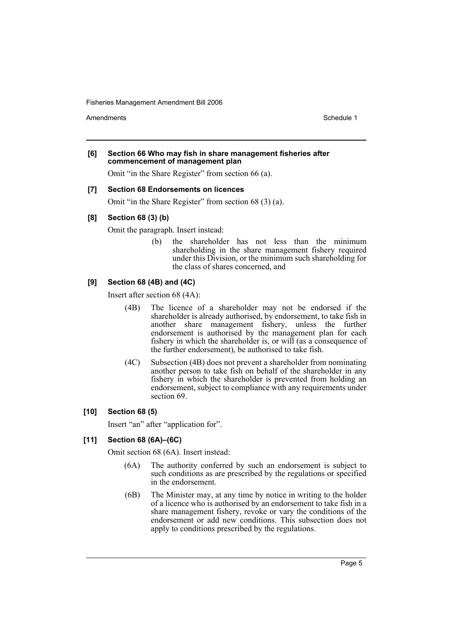Amendments **Amendments** Schedule 1

#### **[6] Section 66 Who may fish in share management fisheries after commencement of management plan**

Omit "in the Share Register" from section 66 (a).

#### **[7] Section 68 Endorsements on licences**

Omit "in the Share Register" from section 68 (3) (a).

## **[8] Section 68 (3) (b)**

Omit the paragraph. Insert instead:

(b) the shareholder has not less than the minimum shareholding in the share management fishery required under this Division, or the minimum such shareholding for the class of shares concerned, and

## **[9] Section 68 (4B) and (4C)**

Insert after section 68 (4A):

- (4B) The licence of a shareholder may not be endorsed if the shareholder is already authorised, by endorsement, to take fish in another share management fishery, unless the further endorsement is authorised by the management plan for each fishery in which the shareholder is, or will (as a consequence of the further endorsement), be authorised to take fish.
- (4C) Subsection (4B) does not prevent a shareholder from nominating another person to take fish on behalf of the shareholder in any fishery in which the shareholder is prevented from holding an endorsement, subject to compliance with any requirements under section 69.

#### **[10] Section 68 (5)**

Insert "an" after "application for".

## **[11] Section 68 (6A)–(6C)**

Omit section 68 (6A). Insert instead:

- (6A) The authority conferred by such an endorsement is subject to such conditions as are prescribed by the regulations or specified in the endorsement.
- (6B) The Minister may, at any time by notice in writing to the holder of a licence who is authorised by an endorsement to take fish in a share management fishery, revoke or vary the conditions of the endorsement or add new conditions. This subsection does not apply to conditions prescribed by the regulations.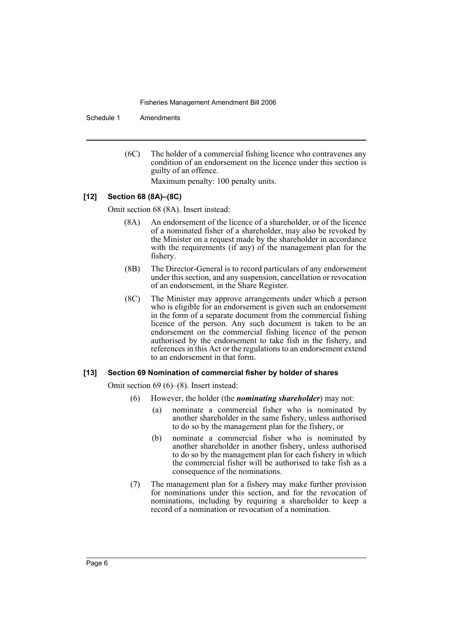Schedule 1 Amendments

(6C) The holder of a commercial fishing licence who contravenes any condition of an endorsement on the licence under this section is guilty of an offence. Maximum penalty: 100 penalty units.

#### **[12] Section 68 (8A)–(8C)**

Omit section 68 (8A). Insert instead:

- (8A) An endorsement of the licence of a shareholder, or of the licence of a nominated fisher of a shareholder, may also be revoked by the Minister on a request made by the shareholder in accordance with the requirements (if any) of the management plan for the fishery.
- (8B) The Director-General is to record particulars of any endorsement under this section, and any suspension, cancellation or revocation of an endorsement, in the Share Register.
- (8C) The Minister may approve arrangements under which a person who is eligible for an endorsement is given such an endorsement in the form of a separate document from the commercial fishing licence of the person. Any such document is taken to be an endorsement on the commercial fishing licence of the person authorised by the endorsement to take fish in the fishery, and references in this Act or the regulations to an endorsement extend to an endorsement in that form.

#### **[13] Section 69 Nomination of commercial fisher by holder of shares**

Omit section 69 (6)–(8). Insert instead:

- (6) However, the holder (the *nominating shareholder*) may not:
	- (a) nominate a commercial fisher who is nominated by another shareholder in the same fishery, unless authorised to do so by the management plan for the fishery, or
	- (b) nominate a commercial fisher who is nominated by another shareholder in another fishery, unless authorised to do so by the management plan for each fishery in which the commercial fisher will be authorised to take fish as a consequence of the nominations.
- (7) The management plan for a fishery may make further provision for nominations under this section, and for the revocation of nominations, including by requiring a shareholder to keep a record of a nomination or revocation of a nomination.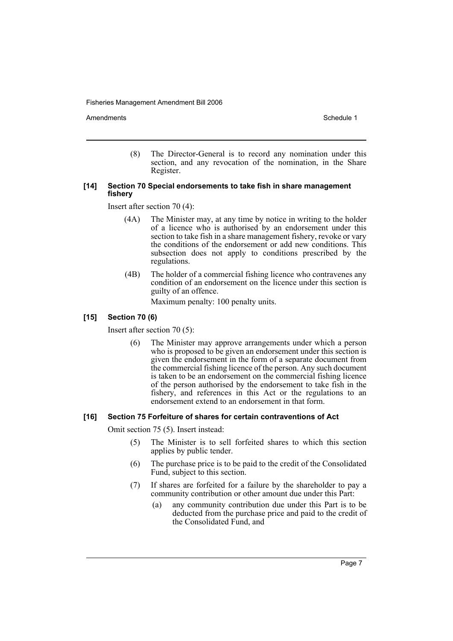Amendments **Amendments** Schedule 1

(8) The Director-General is to record any nomination under this section, and any revocation of the nomination, in the Share Register.

## **[14] Section 70 Special endorsements to take fish in share management fishery**

Insert after section 70 (4):

- (4A) The Minister may, at any time by notice in writing to the holder of a licence who is authorised by an endorsement under this section to take fish in a share management fishery, revoke or vary the conditions of the endorsement or add new conditions. This subsection does not apply to conditions prescribed by the regulations.
- (4B) The holder of a commercial fishing licence who contravenes any condition of an endorsement on the licence under this section is guilty of an offence.

Maximum penalty: 100 penalty units.

## **[15] Section 70 (6)**

Insert after section 70 (5):

(6) The Minister may approve arrangements under which a person who is proposed to be given an endorsement under this section is given the endorsement in the form of a separate document from the commercial fishing licence of the person. Any such document is taken to be an endorsement on the commercial fishing licence of the person authorised by the endorsement to take fish in the fishery, and references in this Act or the regulations to an endorsement extend to an endorsement in that form.

#### **[16] Section 75 Forfeiture of shares for certain contraventions of Act**

Omit section 75 (5). Insert instead:

- (5) The Minister is to sell forfeited shares to which this section applies by public tender.
- (6) The purchase price is to be paid to the credit of the Consolidated Fund, subject to this section.
- (7) If shares are forfeited for a failure by the shareholder to pay a community contribution or other amount due under this Part:
	- (a) any community contribution due under this Part is to be deducted from the purchase price and paid to the credit of the Consolidated Fund, and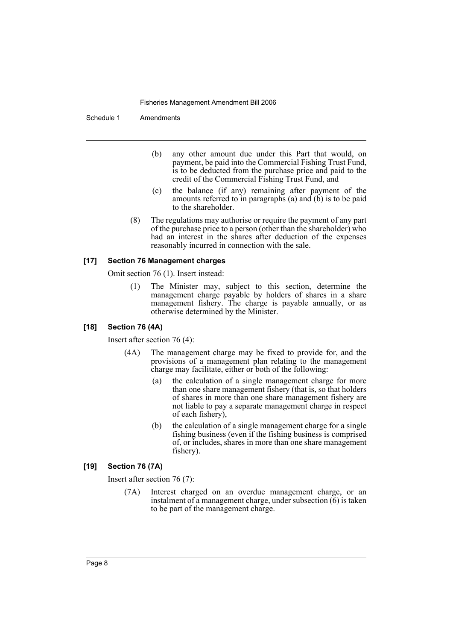Schedule 1 Amendments

- (b) any other amount due under this Part that would, on payment, be paid into the Commercial Fishing Trust Fund, is to be deducted from the purchase price and paid to the credit of the Commercial Fishing Trust Fund, and
- (c) the balance (if any) remaining after payment of the amounts referred to in paragraphs (a) and (b) is to be paid to the shareholder.
- (8) The regulations may authorise or require the payment of any part of the purchase price to a person (other than the shareholder) who had an interest in the shares after deduction of the expenses reasonably incurred in connection with the sale.

#### **[17] Section 76 Management charges**

Omit section 76 (1). Insert instead:

(1) The Minister may, subject to this section, determine the management charge payable by holders of shares in a share management fishery. The charge is payable annually, or as otherwise determined by the Minister.

#### **[18] Section 76 (4A)**

Insert after section 76 (4):

- (4A) The management charge may be fixed to provide for, and the provisions of a management plan relating to the management charge may facilitate, either or both of the following:
	- (a) the calculation of a single management charge for more than one share management fishery (that is, so that holders of shares in more than one share management fishery are not liable to pay a separate management charge in respect of each fishery),
	- (b) the calculation of a single management charge for a single fishing business (even if the fishing business is comprised of, or includes, shares in more than one share management fishery).

## **[19] Section 76 (7A)**

Insert after section 76 (7):

(7A) Interest charged on an overdue management charge, or an instalment of a management charge, under subsection (6) is taken to be part of the management charge.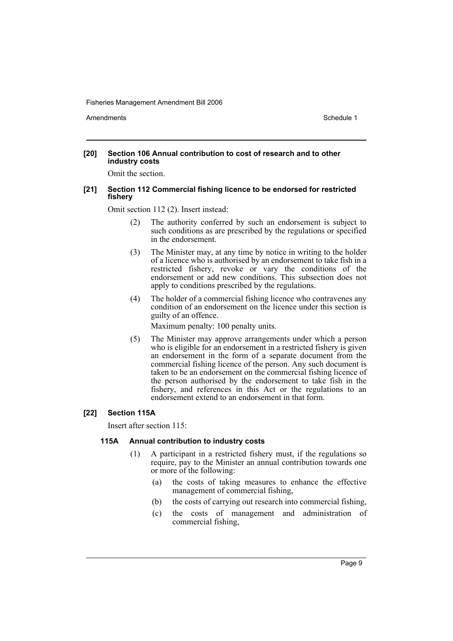Amendments **Amendments** Schedule 1

#### **[20] Section 106 Annual contribution to cost of research and to other industry costs**

Omit the section.

#### **[21] Section 112 Commercial fishing licence to be endorsed for restricted fishery**

Omit section 112 (2). Insert instead:

- (2) The authority conferred by such an endorsement is subject to such conditions as are prescribed by the regulations or specified in the endorsement.
- (3) The Minister may, at any time by notice in writing to the holder of a licence who is authorised by an endorsement to take fish in a restricted fishery, revoke or vary the conditions of the endorsement or add new conditions. This subsection does not apply to conditions prescribed by the regulations.
- (4) The holder of a commercial fishing licence who contravenes any condition of an endorsement on the licence under this section is guilty of an offence.

Maximum penalty: 100 penalty units.

(5) The Minister may approve arrangements under which a person who is eligible for an endorsement in a restricted fishery is given an endorsement in the form of a separate document from the commercial fishing licence of the person. Any such document is taken to be an endorsement on the commercial fishing licence of the person authorised by the endorsement to take fish in the fishery, and references in this Act or the regulations to an endorsement extend to an endorsement in that form.

## **[22] Section 115A**

Insert after section 115:

## **115A Annual contribution to industry costs**

- (1) A participant in a restricted fishery must, if the regulations so require, pay to the Minister an annual contribution towards one or more of the following:
	- (a) the costs of taking measures to enhance the effective management of commercial fishing,
	- (b) the costs of carrying out research into commercial fishing,
	- (c) the costs of management and administration of commercial fishing,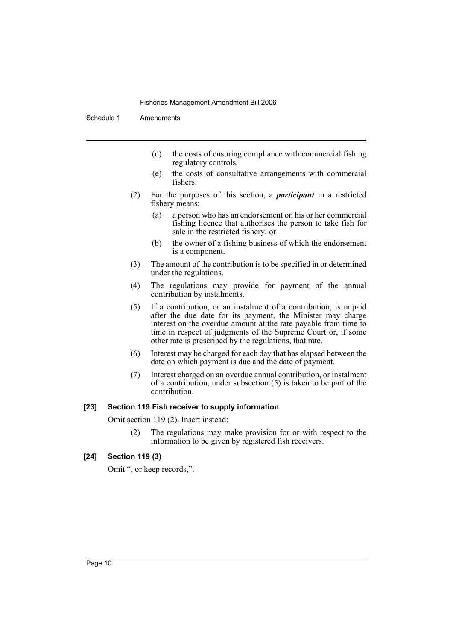Schedule 1 Amendments

- (d) the costs of ensuring compliance with commercial fishing regulatory controls,
- (e) the costs of consultative arrangements with commercial fishers.
- (2) For the purposes of this section, a *participant* in a restricted fishery means:
	- (a) a person who has an endorsement on his or her commercial fishing licence that authorises the person to take fish for sale in the restricted fishery, or
	- (b) the owner of a fishing business of which the endorsement is a component.
- (3) The amount of the contribution is to be specified in or determined under the regulations.
- (4) The regulations may provide for payment of the annual contribution by instalments.
- (5) If a contribution, or an instalment of a contribution, is unpaid after the due date for its payment, the Minister may charge interest on the overdue amount at the rate payable from time to time in respect of judgments of the Supreme Court or, if some other rate is prescribed by the regulations, that rate.
- (6) Interest may be charged for each day that has elapsed between the date on which payment is due and the date of payment.
- (7) Interest charged on an overdue annual contribution, or instalment of a contribution, under subsection (5) is taken to be part of the contribution.

## **[23] Section 119 Fish receiver to supply information**

Omit section 119 (2). Insert instead:

(2) The regulations may make provision for or with respect to the information to be given by registered fish receivers.

## **[24] Section 119 (3)**

Omit ", or keep records,".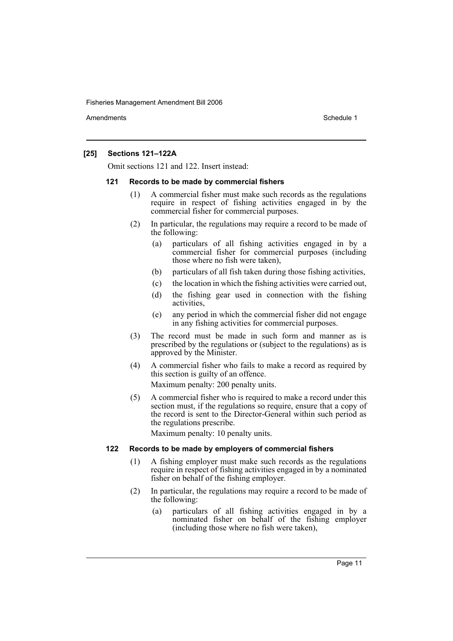Amendments **Amendments** Schedule 1

## **[25] Sections 121–122A**

Omit sections 121 and 122. Insert instead:

#### **121 Records to be made by commercial fishers**

- (1) A commercial fisher must make such records as the regulations require in respect of fishing activities engaged in by the commercial fisher for commercial purposes.
- (2) In particular, the regulations may require a record to be made of the following:
	- (a) particulars of all fishing activities engaged in by a commercial fisher for commercial purposes (including those where no fish were taken),
	- (b) particulars of all fish taken during those fishing activities,
	- (c) the location in which the fishing activities were carried out,
	- (d) the fishing gear used in connection with the fishing activities,
	- (e) any period in which the commercial fisher did not engage in any fishing activities for commercial purposes.
- (3) The record must be made in such form and manner as is prescribed by the regulations or (subject to the regulations) as is approved by the Minister.
- (4) A commercial fisher who fails to make a record as required by this section is guilty of an offence.

Maximum penalty: 200 penalty units.

(5) A commercial fisher who is required to make a record under this section must, if the regulations so require, ensure that a copy of the record is sent to the Director-General within such period as the regulations prescribe.

Maximum penalty: 10 penalty units.

#### **122 Records to be made by employers of commercial fishers**

- (1) A fishing employer must make such records as the regulations require in respect of fishing activities engaged in by a nominated fisher on behalf of the fishing employer.
- (2) In particular, the regulations may require a record to be made of the following:
	- (a) particulars of all fishing activities engaged in by a nominated fisher on behalf of the fishing employer (including those where no fish were taken),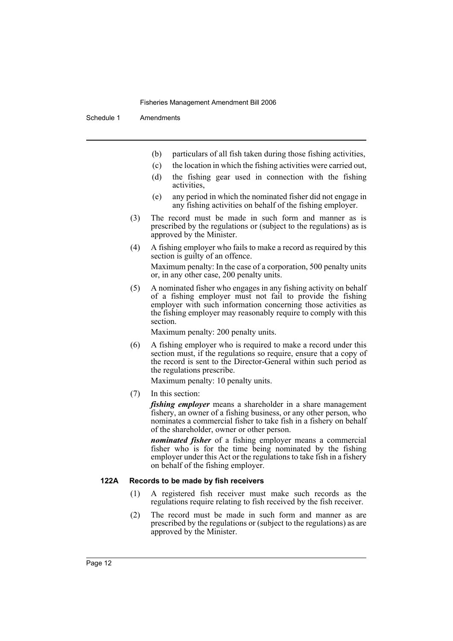Schedule 1 Amendments

- (b) particulars of all fish taken during those fishing activities,
- (c) the location in which the fishing activities were carried out,
- (d) the fishing gear used in connection with the fishing activities,
- (e) any period in which the nominated fisher did not engage in any fishing activities on behalf of the fishing employer.
- (3) The record must be made in such form and manner as is prescribed by the regulations or (subject to the regulations) as is approved by the Minister.
- (4) A fishing employer who fails to make a record as required by this section is guilty of an offence.

Maximum penalty: In the case of a corporation, 500 penalty units or, in any other case, 200 penalty units.

(5) A nominated fisher who engages in any fishing activity on behalf of a fishing employer must not fail to provide the fishing employer with such information concerning those activities as the fishing employer may reasonably require to comply with this section.

Maximum penalty: 200 penalty units.

(6) A fishing employer who is required to make a record under this section must, if the regulations so require, ensure that a copy of the record is sent to the Director-General within such period as the regulations prescribe.

Maximum penalty: 10 penalty units.

(7) In this section:

*fishing employer* means a shareholder in a share management fishery, an owner of a fishing business, or any other person, who nominates a commercial fisher to take fish in a fishery on behalf of the shareholder, owner or other person.

*nominated fisher* of a fishing employer means a commercial fisher who is for the time being nominated by the fishing employer under this Act or the regulations to take fish in a fishery on behalf of the fishing employer.

### **122A Records to be made by fish receivers**

- (1) A registered fish receiver must make such records as the regulations require relating to fish received by the fish receiver.
- (2) The record must be made in such form and manner as are prescribed by the regulations or (subject to the regulations) as are approved by the Minister.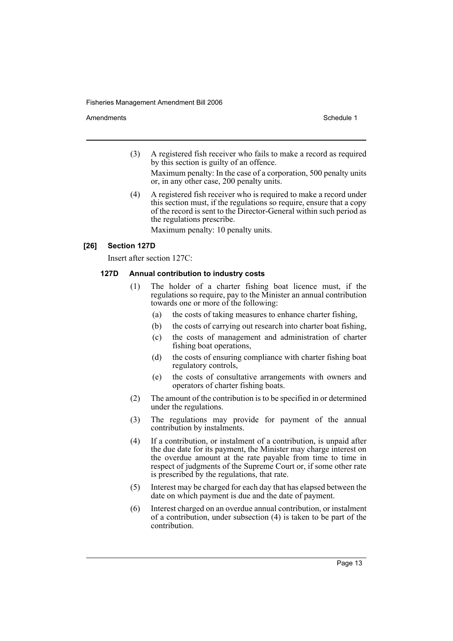Amendments **Amendments** Schedule 1

(3) A registered fish receiver who fails to make a record as required by this section is guilty of an offence.

Maximum penalty: In the case of a corporation, 500 penalty units or, in any other case, 200 penalty units.

(4) A registered fish receiver who is required to make a record under this section must, if the regulations so require, ensure that a copy of the record is sent to the Director-General within such period as the regulations prescribe.

Maximum penalty: 10 penalty units.

## **[26] Section 127D**

Insert after section 127C:

## **127D Annual contribution to industry costs**

- (1) The holder of a charter fishing boat licence must, if the regulations so require, pay to the Minister an annual contribution towards one or more of the following:
	- (a) the costs of taking measures to enhance charter fishing,
	- (b) the costs of carrying out research into charter boat fishing,
	- (c) the costs of management and administration of charter fishing boat operations,
	- (d) the costs of ensuring compliance with charter fishing boat regulatory controls,
	- (e) the costs of consultative arrangements with owners and operators of charter fishing boats.
- (2) The amount of the contribution is to be specified in or determined under the regulations.
- (3) The regulations may provide for payment of the annual contribution by instalments.
- (4) If a contribution, or instalment of a contribution, is unpaid after the due date for its payment, the Minister may charge interest on the overdue amount at the rate payable from time to time in respect of judgments of the Supreme Court or, if some other rate is prescribed by the regulations, that rate.
- (5) Interest may be charged for each day that has elapsed between the date on which payment is due and the date of payment.
- (6) Interest charged on an overdue annual contribution, or instalment of a contribution, under subsection (4) is taken to be part of the contribution.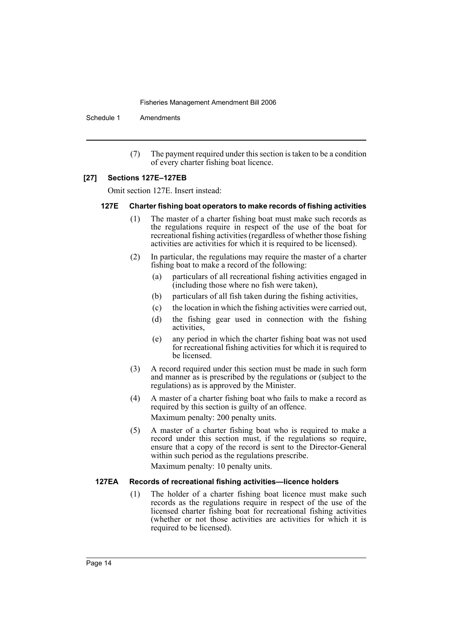Schedule 1 Amendments

(7) The payment required under this section is taken to be a condition of every charter fishing boat licence.

#### **[27] Sections 127E–127EB**

Omit section 127E. Insert instead:

#### **127E Charter fishing boat operators to make records of fishing activities**

- (1) The master of a charter fishing boat must make such records as the regulations require in respect of the use of the boat for recreational fishing activities (regardless of whether those fishing activities are activities for which it is required to be licensed).
- (2) In particular, the regulations may require the master of a charter fishing boat to make a record of the following:
	- (a) particulars of all recreational fishing activities engaged in (including those where no fish were taken),
	- (b) particulars of all fish taken during the fishing activities,
	- (c) the location in which the fishing activities were carried out,
	- (d) the fishing gear used in connection with the fishing activities,
	- (e) any period in which the charter fishing boat was not used for recreational fishing activities for which it is required to be licensed.
- (3) A record required under this section must be made in such form and manner as is prescribed by the regulations or (subject to the regulations) as is approved by the Minister.
- (4) A master of a charter fishing boat who fails to make a record as required by this section is guilty of an offence. Maximum penalty: 200 penalty units.
- (5) A master of a charter fishing boat who is required to make a record under this section must, if the regulations so require, ensure that a copy of the record is sent to the Director-General within such period as the regulations prescribe. Maximum penalty: 10 penalty units.

#### **127EA Records of recreational fishing activities—licence holders**

(1) The holder of a charter fishing boat licence must make such records as the regulations require in respect of the use of the licensed charter fishing boat for recreational fishing activities (whether or not those activities are activities for which it is required to be licensed).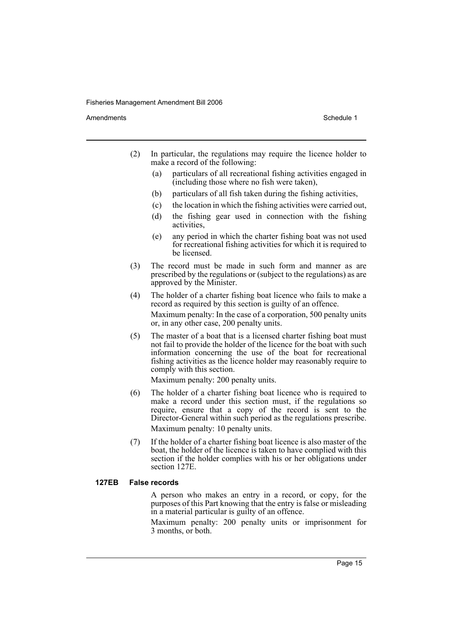Amendments **Amendments** Schedule 1

- (2) In particular, the regulations may require the licence holder to make a record of the following:
	- (a) particulars of all recreational fishing activities engaged in (including those where no fish were taken),
	- (b) particulars of all fish taken during the fishing activities,
	- (c) the location in which the fishing activities were carried out,
	- (d) the fishing gear used in connection with the fishing activities,
	- (e) any period in which the charter fishing boat was not used for recreational fishing activities for which it is required to be licensed.
- (3) The record must be made in such form and manner as are prescribed by the regulations or (subject to the regulations) as are approved by the Minister.
- (4) The holder of a charter fishing boat licence who fails to make a record as required by this section is guilty of an offence.

Maximum penalty: In the case of a corporation, 500 penalty units or, in any other case, 200 penalty units.

(5) The master of a boat that is a licensed charter fishing boat must not fail to provide the holder of the licence for the boat with such information concerning the use of the boat for recreational fishing activities as the licence holder may reasonably require to comply with this section.

Maximum penalty: 200 penalty units.

(6) The holder of a charter fishing boat licence who is required to make a record under this section must, if the regulations so require, ensure that a copy of the record is sent to the Director-General within such period as the regulations prescribe. Maximum penalty: 10 penalty units.

(7) If the holder of a charter fishing boat licence is also master of the boat, the holder of the licence is taken to have complied with this section if the holder complies with his or her obligations under section 127E.

#### **127EB False records**

A person who makes an entry in a record, or copy, for the purposes of this Part knowing that the entry is false or misleading in a material particular is guilty of an offence.

Maximum penalty: 200 penalty units or imprisonment for 3 months, or both.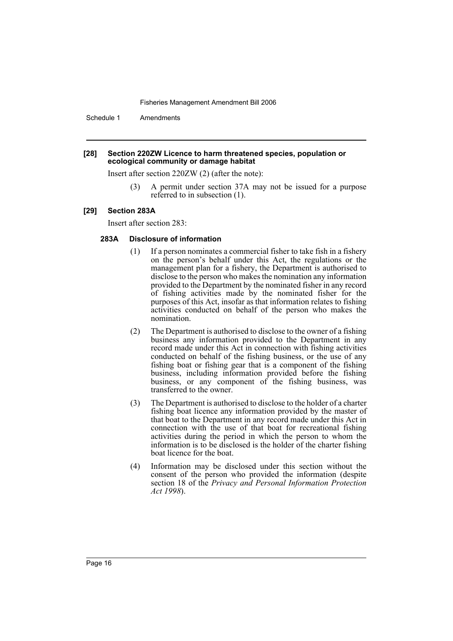Schedule 1 Amendments

#### **[28] Section 220ZW Licence to harm threatened species, population or ecological community or damage habitat**

Insert after section 220ZW (2) (after the note):

(3) A permit under section 37A may not be issued for a purpose referred to in subsection (1).

#### **[29] Section 283A**

Insert after section 283:

#### **283A Disclosure of information**

- (1) If a person nominates a commercial fisher to take fish in a fishery on the person's behalf under this Act, the regulations or the management plan for a fishery, the Department is authorised to disclose to the person who makes the nomination any information provided to the Department by the nominated fisher in any record of fishing activities made by the nominated fisher for the purposes of this Act, insofar as that information relates to fishing activities conducted on behalf of the person who makes the nomination.
- (2) The Department is authorised to disclose to the owner of a fishing business any information provided to the Department in any record made under this Act in connection with fishing activities conducted on behalf of the fishing business, or the use of any fishing boat or fishing gear that is a component of the fishing business, including information provided before the fishing business, or any component of the fishing business, was transferred to the owner.
- (3) The Department is authorised to disclose to the holder of a charter fishing boat licence any information provided by the master of that boat to the Department in any record made under this Act in connection with the use of that boat for recreational fishing activities during the period in which the person to whom the information is to be disclosed is the holder of the charter fishing boat licence for the boat.
- (4) Information may be disclosed under this section without the consent of the person who provided the information (despite section 18 of the *Privacy and Personal Information Protection Act 1998*).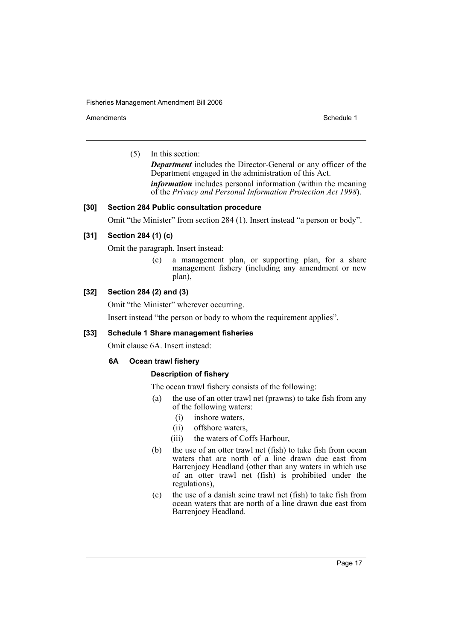Amendments **Schedule 1** and the set of the set of the set of the set of the set of the set of the set of the set of the set of the set of the set of the set of the set of the set of the set of the set of the set of the set

(5) In this section:

*Department* includes the Director-General or any officer of the Department engaged in the administration of this Act. *information* includes personal information (within the meaning of the *Privacy and Personal Information Protection Act 1998*).

## **[30] Section 284 Public consultation procedure**

Omit "the Minister" from section 284 (1). Insert instead "a person or body".

## **[31] Section 284 (1) (c)**

Omit the paragraph. Insert instead:

(c) a management plan, or supporting plan, for a share management fishery (including any amendment or new plan),

## **[32] Section 284 (2) and (3)**

Omit "the Minister" wherever occurring.

Insert instead "the person or body to whom the requirement applies".

## **[33] Schedule 1 Share management fisheries**

Omit clause 6A. Insert instead:

## **6A Ocean trawl fishery**

## **Description of fishery**

The ocean trawl fishery consists of the following:

- (a) the use of an otter trawl net (prawns) to take fish from any of the following waters:
	- (i) inshore waters,
	- (ii) offshore waters,
	- (iii) the waters of Coffs Harbour,
- (b) the use of an otter trawl net (fish) to take fish from ocean waters that are north of a line drawn due east from Barrenjoey Headland (other than any waters in which use of an otter trawl net (fish) is prohibited under the regulations),
- (c) the use of a danish seine trawl net (fish) to take fish from ocean waters that are north of a line drawn due east from Barrenjoey Headland.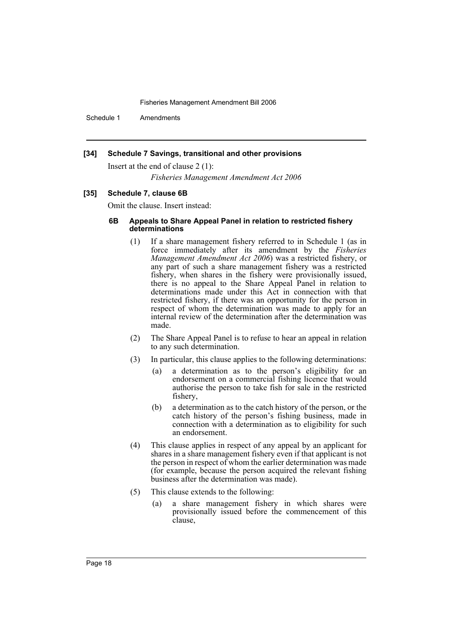Schedule 1 Amendments

#### **[34] Schedule 7 Savings, transitional and other provisions**

Insert at the end of clause 2 (1):

*Fisheries Management Amendment Act 2006*

## **[35] Schedule 7, clause 6B**

Omit the clause. Insert instead:

## **6B Appeals to Share Appeal Panel in relation to restricted fishery determinations**

- (1) If a share management fishery referred to in Schedule 1 (as in force immediately after its amendment by the *Fisheries Management Amendment Act 2006*) was a restricted fishery, or any part of such a share management fishery was a restricted fishery, when shares in the fishery were provisionally issued, there is no appeal to the Share Appeal Panel in relation to determinations made under this Act in connection with that restricted fishery, if there was an opportunity for the person in respect of whom the determination was made to apply for an internal review of the determination after the determination was made.
- (2) The Share Appeal Panel is to refuse to hear an appeal in relation to any such determination.
- (3) In particular, this clause applies to the following determinations:
	- (a) a determination as to the person's eligibility for an endorsement on a commercial fishing licence that would authorise the person to take fish for sale in the restricted fishery,
	- (b) a determination as to the catch history of the person, or the catch history of the person's fishing business, made in connection with a determination as to eligibility for such an endorsement.
- (4) This clause applies in respect of any appeal by an applicant for shares in a share management fishery even if that applicant is not the person in respect of whom the earlier determination was made (for example, because the person acquired the relevant fishing business after the determination was made).
- (5) This clause extends to the following:
	- (a) a share management fishery in which shares were provisionally issued before the commencement of this clause,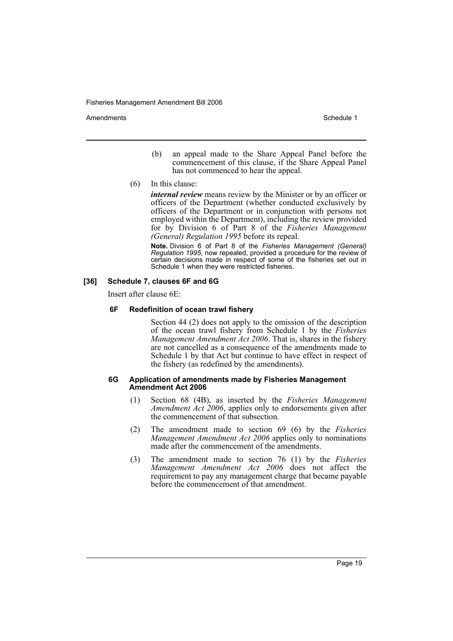Amendments **Amendments** Schedule 1

- (b) an appeal made to the Share Appeal Panel before the commencement of this clause, if the Share Appeal Panel has not commenced to hear the appeal.
- (6) In this clause:

*internal review* means review by the Minister or by an officer or officers of the Department (whether conducted exclusively by officers of the Department or in conjunction with persons not employed within the Department), including the review provided for by Division 6 of Part 8 of the *Fisheries Management (General) Regulation 1995* before its repeal.

**Note.** Division 6 of Part 8 of the *Fisheries Management (General) Regulation 1995*, now repealed, provided a procedure for the review of certain decisions made in respect of some of the fisheries set out in Schedule 1 when they were restricted fisheries.

### **[36] Schedule 7, clauses 6F and 6G**

Insert after clause 6E:

## **6F Redefinition of ocean trawl fishery**

Section 44 (2) does not apply to the omission of the description of the ocean trawl fishery from Schedule 1 by the *Fisheries Management Amendment Act 2006*. That is, shares in the fishery are not cancelled as a consequence of the amendments made to Schedule 1 by that Act but continue to have effect in respect of the fishery (as redefined by the amendments).

#### **6G Application of amendments made by Fisheries Management Amendment Act 2006**

- (1) Section 68 (4B), as inserted by the *Fisheries Management Amendment Act 2006*, applies only to endorsements given after the commencement of that subsection.
- (2) The amendment made to section 69 (6) by the *Fisheries Management Amendment Act 2006* applies only to nominations made after the commencement of the amendments.
- (3) The amendment made to section 76 (1) by the *Fisheries Management Amendment Act 2006* does not affect the requirement to pay any management charge that became payable before the commencement of that amendment.